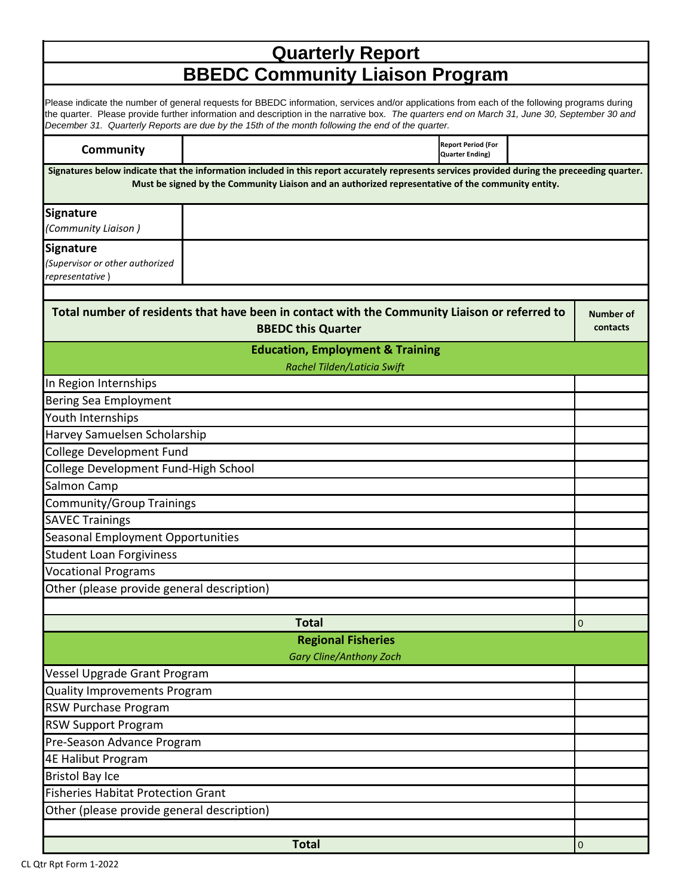|                                                                                                   |                           | <b>Quarterly Report</b>                                                                                                                                                                                                                                                                        |  |                              |
|---------------------------------------------------------------------------------------------------|---------------------------|------------------------------------------------------------------------------------------------------------------------------------------------------------------------------------------------------------------------------------------------------------------------------------------------|--|------------------------------|
|                                                                                                   |                           | <b>BBEDC Community Liaison Program</b>                                                                                                                                                                                                                                                         |  |                              |
| December 31. Quarterly Reports are due by the 15th of the month following the end of the quarter. |                           | Please indicate the number of general requests for BBEDC information, services and/or applications from each of the following programs during<br>the quarter. Please provide further information and description in the narrative box. The quarters end on March 31, June 30, September 30 and |  |                              |
| <b>Community</b>                                                                                  |                           | <b>Report Period (For</b><br><b>Quarter Ending)</b>                                                                                                                                                                                                                                            |  |                              |
|                                                                                                   |                           | Signatures below indicate that the information included in this report accurately represents services provided during the preceeding quarter.<br>Must be signed by the Community Liaison and an authorized representative of the community entity.                                             |  |                              |
| <b>Signature</b><br>(Community Liaison)                                                           |                           |                                                                                                                                                                                                                                                                                                |  |                              |
| <b>Signature</b><br>(Supervisor or other authorized<br>representative)                            |                           |                                                                                                                                                                                                                                                                                                |  |                              |
|                                                                                                   |                           |                                                                                                                                                                                                                                                                                                |  |                              |
|                                                                                                   | <b>BBEDC this Quarter</b> | Total number of residents that have been in contact with the Community Liaison or referred to                                                                                                                                                                                                  |  | <b>Number of</b><br>contacts |
|                                                                                                   |                           | <b>Education, Employment &amp; Training</b>                                                                                                                                                                                                                                                    |  |                              |
| In Region Internships                                                                             |                           | Rachel Tilden/Laticia Swift                                                                                                                                                                                                                                                                    |  |                              |
| <b>Bering Sea Employment</b>                                                                      |                           |                                                                                                                                                                                                                                                                                                |  |                              |
| Youth Internships                                                                                 |                           |                                                                                                                                                                                                                                                                                                |  |                              |
| Harvey Samuelsen Scholarship                                                                      |                           |                                                                                                                                                                                                                                                                                                |  |                              |
| <b>College Development Fund</b>                                                                   |                           |                                                                                                                                                                                                                                                                                                |  |                              |
| College Development Fund-High School                                                              |                           |                                                                                                                                                                                                                                                                                                |  |                              |
| Salmon Camp                                                                                       |                           |                                                                                                                                                                                                                                                                                                |  |                              |
| Community/Group Trainings                                                                         |                           |                                                                                                                                                                                                                                                                                                |  |                              |
| <b>SAVEC Trainings</b>                                                                            |                           |                                                                                                                                                                                                                                                                                                |  |                              |
| <b>Seasonal Employment Opportunities</b>                                                          |                           |                                                                                                                                                                                                                                                                                                |  |                              |
| <b>Student Loan Forgiviness</b>                                                                   |                           |                                                                                                                                                                                                                                                                                                |  |                              |
| <b>Vocational Programs</b>                                                                        |                           |                                                                                                                                                                                                                                                                                                |  |                              |
| Other (please provide general description)                                                        |                           |                                                                                                                                                                                                                                                                                                |  |                              |
|                                                                                                   |                           |                                                                                                                                                                                                                                                                                                |  |                              |
|                                                                                                   | <b>Total</b>              |                                                                                                                                                                                                                                                                                                |  | $\mathbf 0$                  |
|                                                                                                   |                           | <b>Regional Fisheries</b>                                                                                                                                                                                                                                                                      |  |                              |
| Vessel Upgrade Grant Program                                                                      |                           | <b>Gary Cline/Anthony Zoch</b>                                                                                                                                                                                                                                                                 |  |                              |
| <b>Quality Improvements Program</b>                                                               |                           |                                                                                                                                                                                                                                                                                                |  |                              |
| <b>RSW Purchase Program</b>                                                                       |                           |                                                                                                                                                                                                                                                                                                |  |                              |
| <b>RSW Support Program</b>                                                                        |                           |                                                                                                                                                                                                                                                                                                |  |                              |
| Pre-Season Advance Program                                                                        |                           |                                                                                                                                                                                                                                                                                                |  |                              |
| <b>4E Halibut Program</b>                                                                         |                           |                                                                                                                                                                                                                                                                                                |  |                              |
| <b>Bristol Bay Ice</b>                                                                            |                           |                                                                                                                                                                                                                                                                                                |  |                              |
| <b>Fisheries Habitat Protection Grant</b>                                                         |                           |                                                                                                                                                                                                                                                                                                |  |                              |
| Other (please provide general description)                                                        |                           |                                                                                                                                                                                                                                                                                                |  |                              |
|                                                                                                   |                           |                                                                                                                                                                                                                                                                                                |  |                              |
|                                                                                                   | <b>Total</b>              |                                                                                                                                                                                                                                                                                                |  | $\mathbf 0$                  |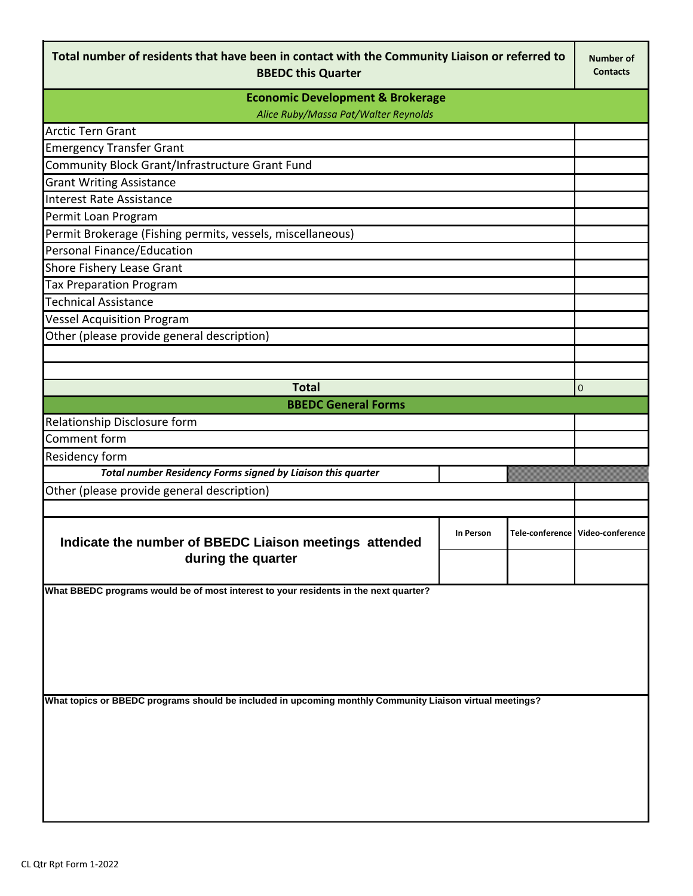| Total number of residents that have been in contact with the Community Liaison or referred to<br><b>BBEDC this Quarter</b> |  |  |                                  |  |  |
|----------------------------------------------------------------------------------------------------------------------------|--|--|----------------------------------|--|--|
| <b>Economic Development &amp; Brokerage</b><br>Alice Ruby/Massa Pat/Walter Reynolds                                        |  |  |                                  |  |  |
| <b>Arctic Tern Grant</b>                                                                                                   |  |  |                                  |  |  |
| <b>Emergency Transfer Grant</b>                                                                                            |  |  |                                  |  |  |
| Community Block Grant/Infrastructure Grant Fund                                                                            |  |  |                                  |  |  |
| <b>Grant Writing Assistance</b>                                                                                            |  |  |                                  |  |  |
| Interest Rate Assistance                                                                                                   |  |  |                                  |  |  |
| Permit Loan Program                                                                                                        |  |  |                                  |  |  |
| Permit Brokerage (Fishing permits, vessels, miscellaneous)                                                                 |  |  |                                  |  |  |
| Personal Finance/Education                                                                                                 |  |  |                                  |  |  |
| <b>Shore Fishery Lease Grant</b>                                                                                           |  |  |                                  |  |  |
| <b>Tax Preparation Program</b>                                                                                             |  |  |                                  |  |  |
| <b>Technical Assistance</b>                                                                                                |  |  |                                  |  |  |
| <b>Vessel Acquisition Program</b>                                                                                          |  |  |                                  |  |  |
| Other (please provide general description)                                                                                 |  |  |                                  |  |  |
|                                                                                                                            |  |  |                                  |  |  |
|                                                                                                                            |  |  |                                  |  |  |
| <b>Total</b><br>$\mathbf 0$                                                                                                |  |  |                                  |  |  |
| <b>BBEDC General Forms</b>                                                                                                 |  |  |                                  |  |  |
| Relationship Disclosure form                                                                                               |  |  |                                  |  |  |
| Comment form                                                                                                               |  |  |                                  |  |  |
| <b>Residency form</b>                                                                                                      |  |  |                                  |  |  |
| Total number Residency Forms signed by Liaison this quarter                                                                |  |  |                                  |  |  |
| Other (please provide general description)                                                                                 |  |  |                                  |  |  |
|                                                                                                                            |  |  |                                  |  |  |
| Indicate the number of BBEDC Liaison meetings attended<br>during the quarter                                               |  |  | Tele-conference Video-conference |  |  |
|                                                                                                                            |  |  |                                  |  |  |
| What BBEDC programs would be of most interest to your residents in the next quarter?                                       |  |  |                                  |  |  |
|                                                                                                                            |  |  |                                  |  |  |
|                                                                                                                            |  |  |                                  |  |  |
|                                                                                                                            |  |  |                                  |  |  |
|                                                                                                                            |  |  |                                  |  |  |
|                                                                                                                            |  |  |                                  |  |  |
| What topics or BBEDC programs should be included in upcoming monthly Community Liaison virtual meetings?                   |  |  |                                  |  |  |
|                                                                                                                            |  |  |                                  |  |  |
|                                                                                                                            |  |  |                                  |  |  |
|                                                                                                                            |  |  |                                  |  |  |
|                                                                                                                            |  |  |                                  |  |  |
|                                                                                                                            |  |  |                                  |  |  |
|                                                                                                                            |  |  |                                  |  |  |
|                                                                                                                            |  |  |                                  |  |  |